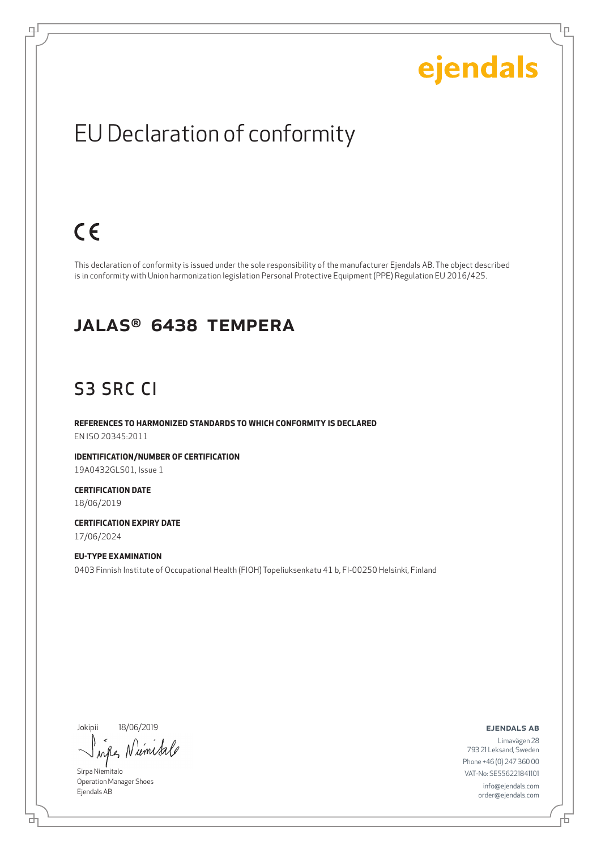Lρ

### EU Declaration of conformity

## $C \in$

ψ

This declaration of conformity is issued under the sole responsibility of the manufacturer Ejendals AB. The object described is in conformity with Union harmonization legislation Personal Protective Equipment (PPE) Regulation EU 2016/425.

#### JALAS® 6438 Tempera

#### S3 SRC CI

**REFERENCES TO HARMONIZED STANDARDS TO WHICH CONFORMITY IS DECLARED** EN ISO 20345:2011

**IDENTIFICATION/NUMBER OF CERTIFICATION** 19A0432GLS01, Issue 1

**CERTIFICATION DATE** 18/06/2019

**CERTIFICATION EXPIRY DATE** 17/06/2024

#### **EU-TYPE EXAMINATION** 0403 Finnish Institute of Occupational Health (FIOH) Topeliuksenkatu 41 b, FI-00250 Helsinki, Finland

Jokipii 18/06/2019

ums when

Sirpa Niemitalo Operation Manager Shoes Ejendals AB

#### ejendals ab

Limavägen 28 793 21 Leksand, Sweden Phone +46 (0) 247 360 00 VAT-No: SE556221841101 info@ejendals.com order@ejendals.com

브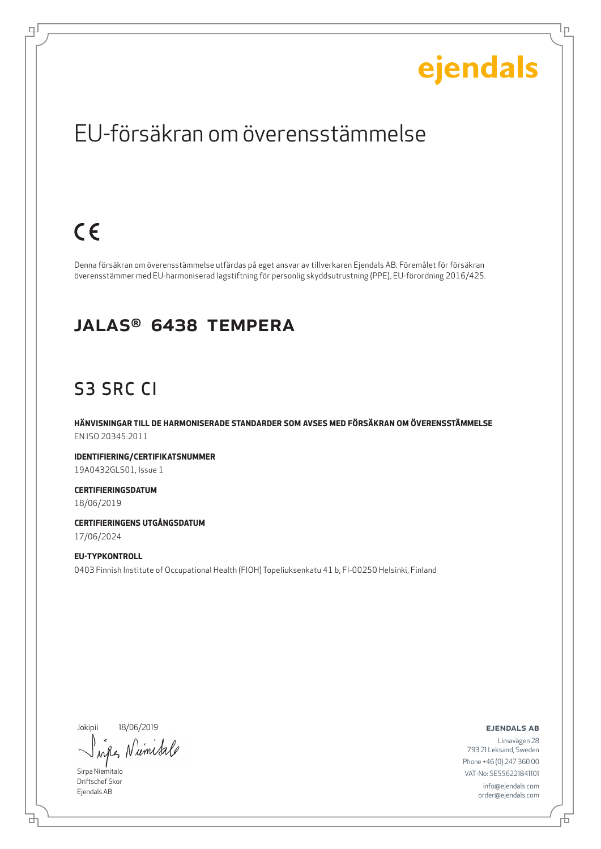Lρ

### EU-försäkran om överensstämmelse

## $C \in$

ψ

Denna försäkran om överensstämmelse utfärdas på eget ansvar av tillverkaren Ejendals AB. Föremålet för försäkran överensstämmer med EU-harmoniserad lagstiftning för personlig skyddsutrustning (PPE), EU-förordning 2016/425.

#### JALAS® 6438 Tempera

### S3 SRC CI

**HÄNVISNINGAR TILL DE HARMONISERADE STANDARDER SOM AVSES MED FÖRSÄKRAN OM ÖVERENSSTÄMMELSE** EN ISO 20345:2011

**IDENTIFIERING/CERTIFIKATSNUMMER** 19A0432GLS01, Issue 1

**CERTIFIERINGSDATUM** 18/06/2019

**CERTIFIERINGENS UTGÅNGSDATUM** 17/06/2024

**EU-TYPKONTROLL** 0403 Finnish Institute of Occupational Health (FIOH) Topeliuksenkatu 41 b, FI-00250 Helsinki, Finland

Jokipii 18/06/2019

wife, Niemitale

Sirpa Niemitalo Driftschef Skor Ejendals AB

브

ejendals ab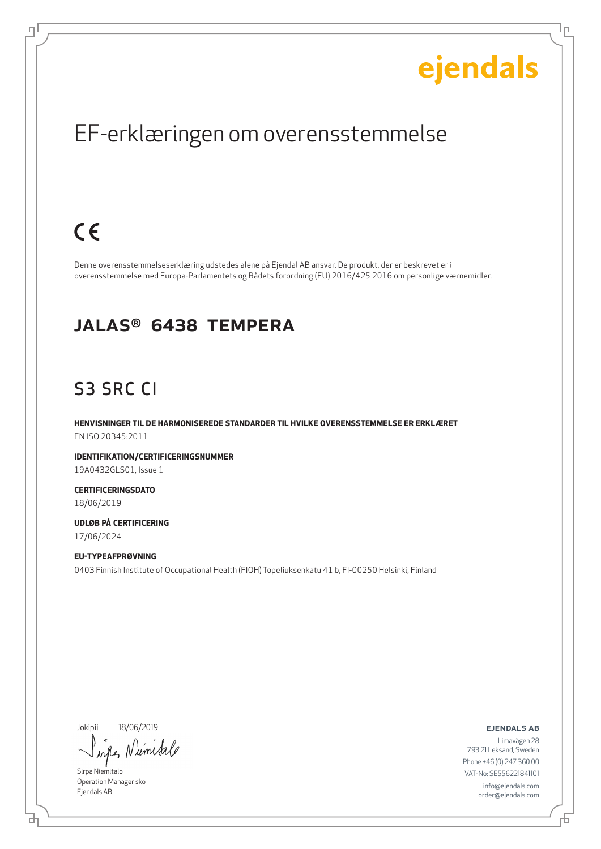Ļμ

### EF-erklæringen om overensstemmelse

## $C \in$

டி

Denne overensstemmelseserklæring udstedes alene på Ejendal AB ansvar. De produkt, der er beskrevet er i overensstemmelse med Europa-Parlamentets og Rådets forordning (EU) 2016/425 2016 om personlige værnemidler.

#### JALAS® 6438 Tempera

### S3 SRC CI

**HENVISNINGER TIL DE HARMONISEREDE STANDARDER TIL HVILKE OVERENSSTEMMELSE ER ERKLÆRET** EN ISO 20345:2011

**IDENTIFIKATION/CERTIFICERINGSNUMMER** 19A0432GLS01, Issue 1

**CERTIFICERINGSDATO** 18/06/2019

**UDLØB PÅ CERTIFICERING** 17/06/2024

**EU-TYPEAFPRØVNING** 0403 Finnish Institute of Occupational Health (FIOH) Topeliuksenkatu 41 b, FI-00250 Helsinki, Finland

Jokipii 18/06/2019

when Niems

Sirpa Niemitalo Operation Manager sko Ejendals AB

ejendals ab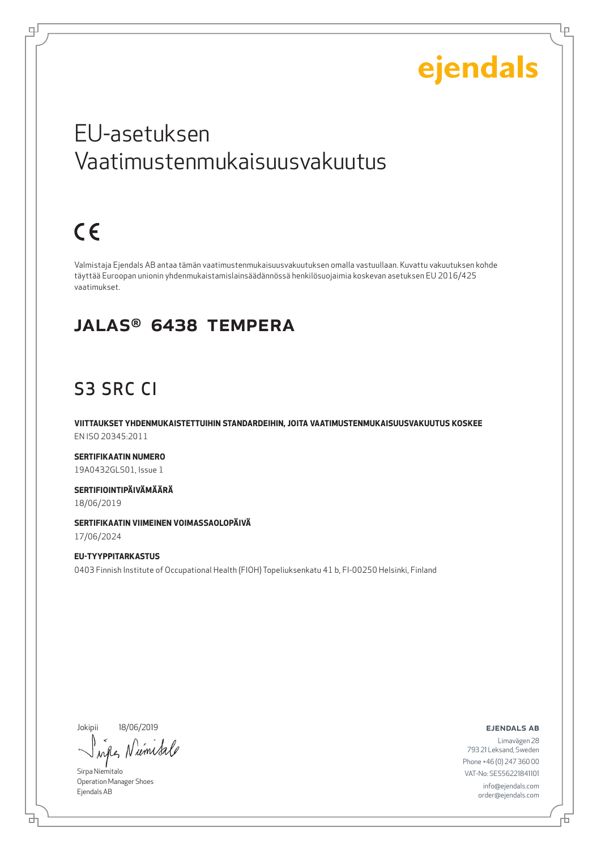Lμ

### EU-asetuksen Vaatimustenmukaisuusvakuutus

## $C \in$

டி

Valmistaja Ejendals AB antaa tämän vaatimustenmukaisuusvakuutuksen omalla vastuullaan. Kuvattu vakuutuksen kohde täyttää Euroopan unionin yhdenmukaistamislainsäädännössä henkilösuojaimia koskevan asetuksen EU 2016/425 vaatimukset.

#### JALAS® 6438 Tempera

### S3 SRC CI

**VIITTAUKSET YHDENMUKAISTETTUIHIN STANDARDEIHIN, JOITA VAATIMUSTENMUKAISUUSVAKUUTUS KOSKEE** EN ISO 20345:2011

**SERTIFIKAATIN NUMERO** 19A0432GLS01, Issue 1

**SERTIFIOINTIPÄIVÄMÄÄRÄ** 18/06/2019

**SERTIFIKAATIN VIIMEINEN VOIMASSAOLOPÄIVÄ**

17/06/2024

**EU-TYYPPITARKASTUS** 0403 Finnish Institute of Occupational Health (FIOH) Topeliuksenkatu 41 b, FI-00250 Helsinki, Finland

Jokipii 18/06/2019

*um Sa* when N

Sirpa Niemitalo Operation Manager Shoes Ejendals AB

ejendals ab

Limavägen 28 793 21 Leksand, Sweden Phone +46 (0) 247 360 00 VAT-No: SE556221841101 info@ejendals.com order@ejendals.com

б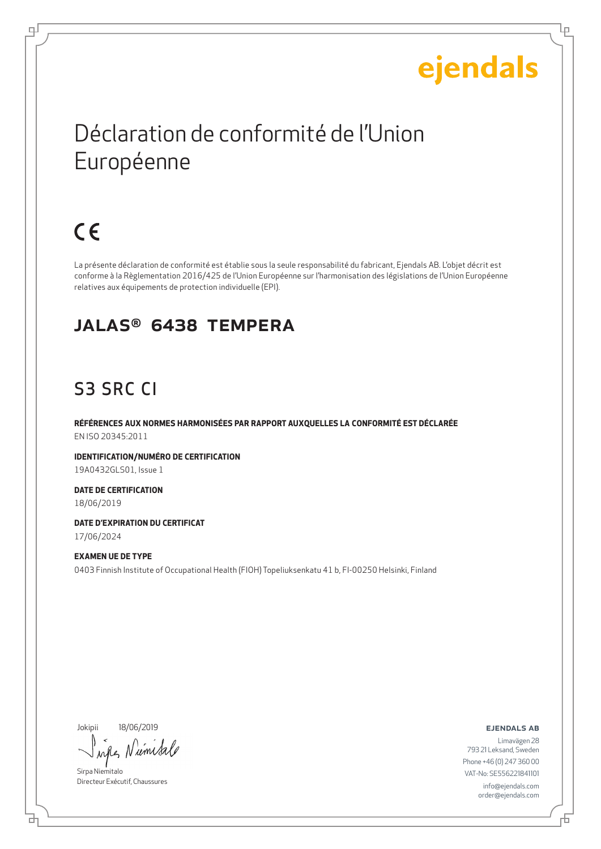Lр

## Déclaration de conformité de l'Union Européenne

## $C \in$

டி

La présente déclaration de conformité est établie sous la seule responsabilité du fabricant, Ejendals AB. L'objet décrit est conforme à la Règlementation 2016/425 de l'Union Européenne sur l'harmonisation des législations de l'Union Européenne relatives aux équipements de protection individuelle (EPI).

#### JALAS® 6438 Tempera

### S3 SRC CI

**RÉFÉRENCES AUX NORMES HARMONISÉES PAR RAPPORT AUXQUELLES LA CONFORMITÉ EST DÉCLARÉE** EN ISO 20345:2011

**IDENTIFICATION/NUMÉRO DE CERTIFICATION** 19A0432GLS01, Issue 1

**DATE DE CERTIFICATION** 18/06/2019

**DATE D'EXPIRATION DU CERTIFICAT** 17/06/2024

**EXAMEN UE DE TYPE** 0403 Finnish Institute of Occupational Health (FIOH) Topeliuksenkatu 41 b, FI-00250 Helsinki, Finland

Jokipii 18/06/2019

б

um  $\lambda$ all

Sirpa Niemitalo Directeur Exécutif, Chaussures

ejendals ab

Б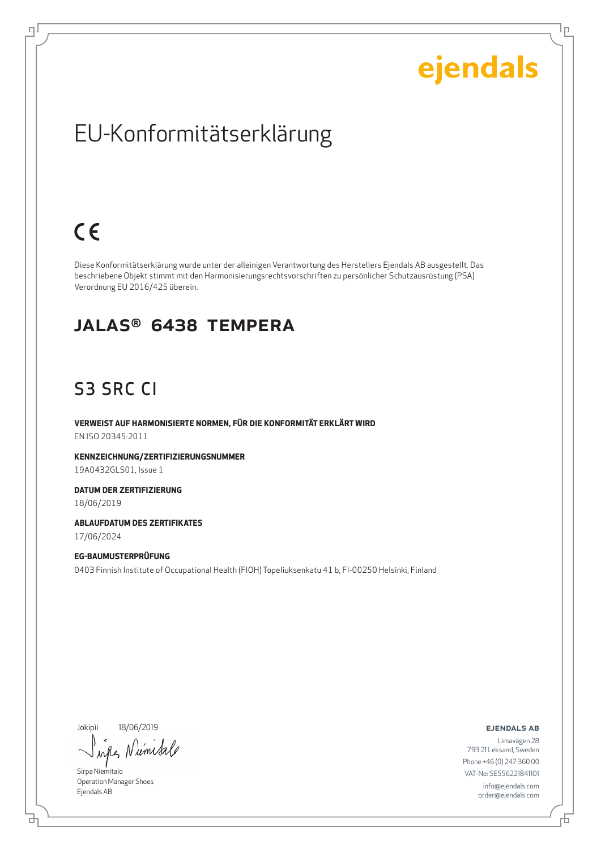Ļμ

### EU-Konformitätserklärung

## $C \in$

ᆗ

Diese Konformitätserklärung wurde unter der alleinigen Verantwortung des Herstellers Ejendals AB ausgestellt. Das beschriebene Objekt stimmt mit den Harmonisierungsrechtsvorschriften zu persönlicher Schutzausrüstung (PSA) Verordnung EU 2016/425 überein.

#### JALAS® 6438 Tempera

#### S3 SRC CI

**VERWEIST AUF HARMONISIERTE NORMEN, FÜR DIE KONFORMITÄT ERKLÄRT WIRD** EN ISO 20345:2011

**KENNZEICHNUNG/ZERTIFIZIERUNGSNUMMER** 19A0432GLS01, Issue 1

**DATUM DER ZERTIFIZIERUNG** 18/06/2019

**ABLAUFDATUM DES ZERTIFIKATES** 17/06/2024

#### **EG-BAUMUSTERPRÜFUNG** 0403 Finnish Institute of Occupational Health (FIOH) Topeliuksenkatu 41 b, FI-00250 Helsinki, Finland

Jokipii 18/06/2019

umsa when N

Sirpa Niemitalo Operation Manager Shoes Ejendals AB

ejendals ab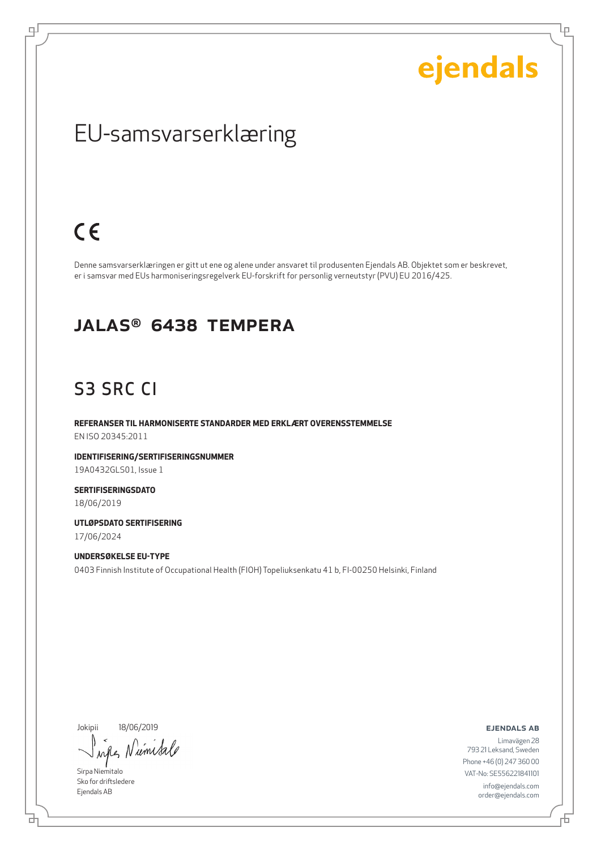Ļμ

### EU-samsvarserklæring

### $C \in$

ψ

Denne samsvarserklæringen er gitt ut ene og alene under ansvaret til produsenten Ejendals AB. Objektet som er beskrevet, er i samsvar med EUs harmoniseringsregelverk EU-forskrift for personlig verneutstyr (PVU) EU 2016/425.

#### JALAS® 6438 Tempera

#### S3 SRC CI

**REFERANSER TIL HARMONISERTE STANDARDER MED ERKLÆRT OVERENSSTEMMELSE** EN ISO 20345:2011

**IDENTIFISERING/SERTIFISERINGSNUMMER** 19A0432GLS01, Issue 1

**SERTIFISERINGSDATO** 18/06/2019

**UTLØPSDATO SERTIFISERING** 17/06/2024

**UNDERSØKELSE EU-TYPE** 0403 Finnish Institute of Occupational Health (FIOH) Topeliuksenkatu 41 b, FI-00250 Helsinki, Finland

Jokipii 18/06/2019

who Niemisa

Sirpa Niemitalo Sko for driftsledere Ejendals AB

브

ejendals ab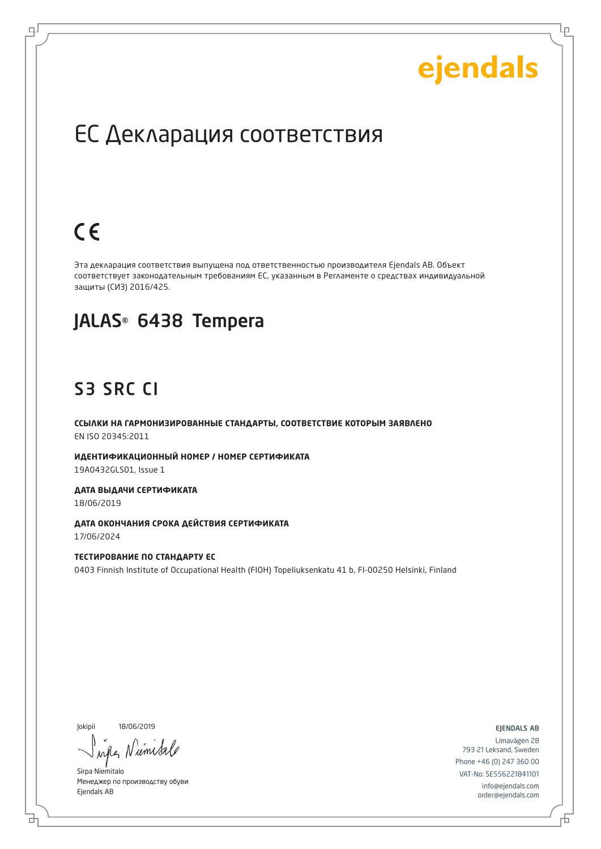Lр

### ЕС Декларация соответствия

## $C \in$

로

Эта декларация соответствия выпущена под ответственностью производителя Ejendals AB. Объект соответствует законодательным требованиям ЕС, указанным в Регламенте о средствах индивидуальной защиты (СИЗ) 2016/425.

#### JALAS® 6438 Tempera

#### S3 SRC CI

**ССЫЛКИ НА ГАРМОНИЗИРОВАННЫЕ СТАНДАРТЫ, СООТВЕТСТВИЕ КОТОРЫМ ЗАЯВЛЕНО** EN ISO 20345:2011

**ИДЕНТИФИКАЦИОННЫЙ НОМЕР / НОМЕР СЕРТИФИКАТА** 19A0432GLS01, Issue 1

**ДАТА ВЫДАЧИ СЕРТИФИКАТА** 18/06/2019

**ДАТА ОКОНЧАНИЯ СРОКА ДЕЙСТВИЯ СЕРТИФИКАТА** 17/06/2024

**ТЕСТИРОВАНИЕ ПО СТАНДАРТУ ЕС** 0403 Finnish Institute of Occupational Health (FIOH) Topeliuksenkatu 41 b, FI-00250 Helsinki, Finland

Jokipii 18/06/2019

б

umi  $\lambda \alpha \ell$ 

Sirpa Niemitalo Менеджер по производству обуви Ejendals AB

ejendals ab

Б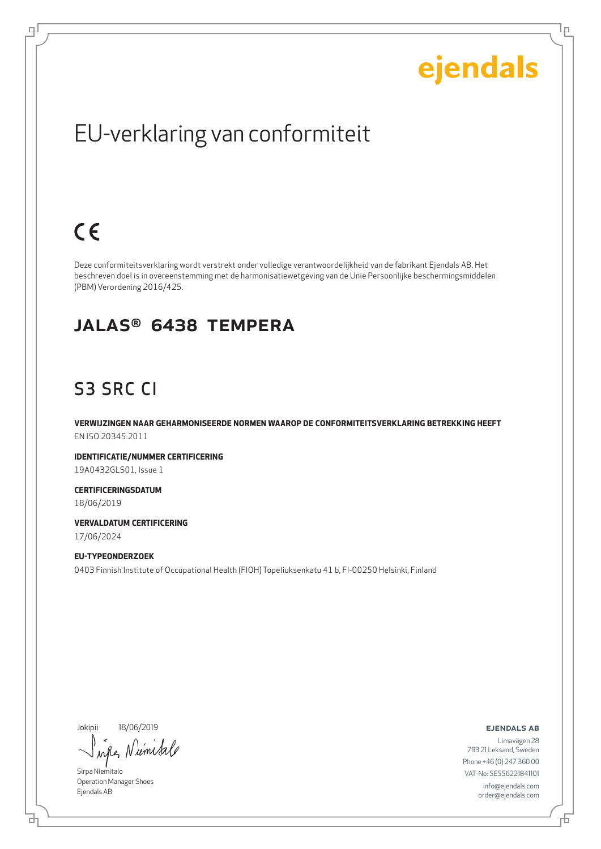Ļμ

## EU-verklaring van conformiteit

## $C \in$

டி

Deze conformiteitsverklaring wordt verstrekt onder volledige verantwoordelijkheid van de fabrikant Ejendals AB. Het beschreven doel is in overeenstemming met de harmonisatiewetgeving van de Unie Persoonlijke beschermingsmiddelen (PBM) Verordening 2016/425.

#### JALAS® 6438 Tempera

### S3 SRC CI

**VERWIJZINGEN NAAR GEHARMONISEERDE NORMEN WAAROP DE CONFORMITEITSVERKLARING BETREKKING HEEFT** EN ISO 20345:2011

**IDENTIFICATIE/NUMMER CERTIFICERING** 19A0432GLS01, Issue 1

**CERTIFICERINGSDATUM** 18/06/2019

**VERVALDATUM CERTIFICERING** 17/06/2024

**EU-TYPEONDERZOEK** 0403 Finnish Institute of Occupational Health (FIOH) Topeliuksenkatu 41 b, FI-00250 Helsinki, Finland

Jokipii 18/06/2019

when N ums

Sirpa Niemitalo Operation Manager Shoes Ejendals AB

브

ejendals ab

Đ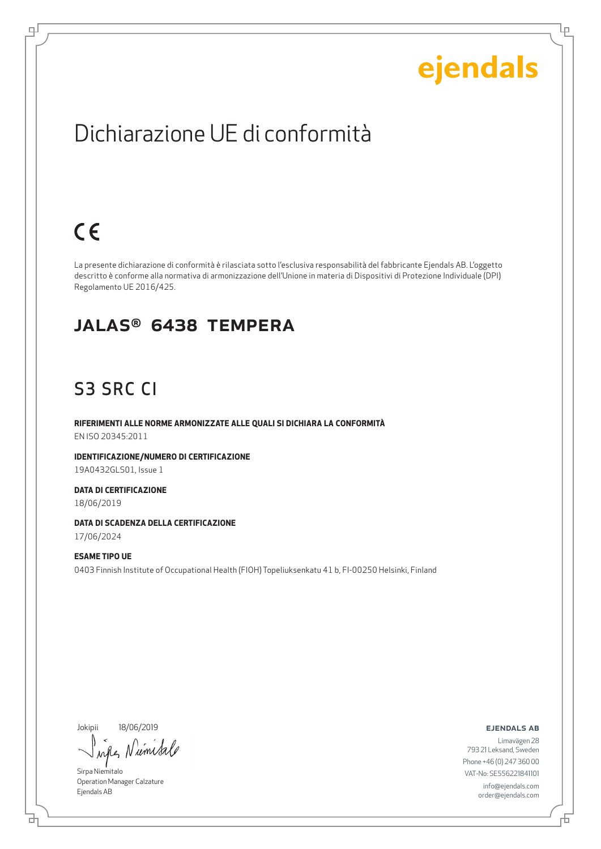Lρ

### Dichiarazione UE di conformità

## $C \in$

டி

La presente dichiarazione di conformità è rilasciata sotto l'esclusiva responsabilità del fabbricante Ejendals AB. L'oggetto descritto è conforme alla normativa di armonizzazione dell'Unione in materia di Dispositivi di Protezione Individuale (DPI) Regolamento UE 2016/425.

#### JALAS® 6438 Tempera

### S3 SRC CI

**RIFERIMENTI ALLE NORME ARMONIZZATE ALLE QUALI SI DICHIARA LA CONFORMITÀ** EN ISO 20345:2011

**IDENTIFICAZIONE/NUMERO DI CERTIFICAZIONE** 19A0432GLS01, Issue 1

**DATA DI CERTIFICAZIONE** 18/06/2019

**DATA DI SCADENZA DELLA CERTIFICAZIONE**

17/06/2024

**ESAME TIPO UE** 0403 Finnish Institute of Occupational Health (FIOH) Topeliuksenkatu 41 b, FI-00250 Helsinki, Finland

Jokipii 18/06/2019

when umi

Sirpa Niemitalo Operation Manager Calzature Ejendals AB

브

#### ejendals ab

Đ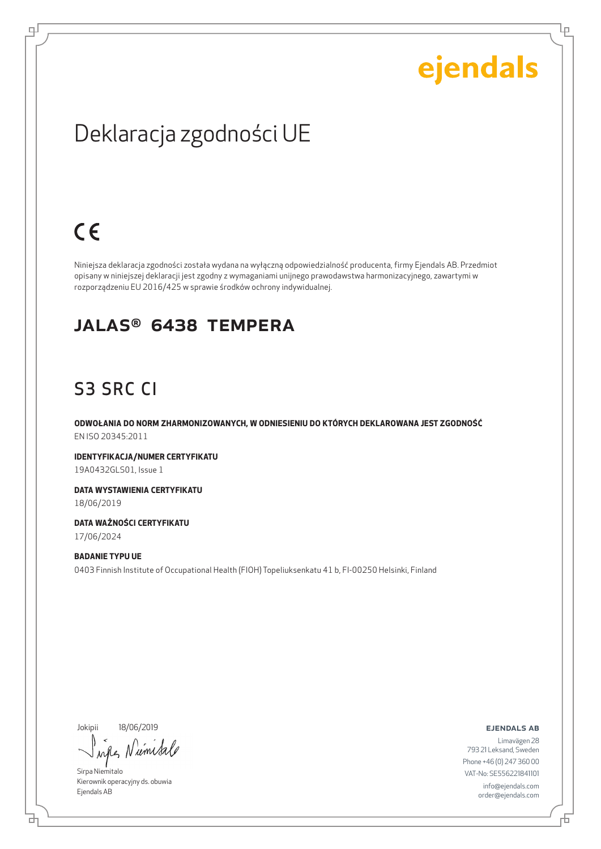Ļμ

### Deklaracja zgodności UE

## $C \in$

ᆗ

Niniejsza deklaracja zgodności została wydana na wyłączną odpowiedzialność producenta, firmy Ejendals AB. Przedmiot opisany w niniejszej deklaracji jest zgodny z wymaganiami unijnego prawodawstwa harmonizacyjnego, zawartymi w rozporządzeniu EU 2016/425 w sprawie środków ochrony indywidualnej.

#### JALAS® 6438 Tempera

### S3 SRC CI

**ODWOŁANIA DO NORM ZHARMONIZOWANYCH, W ODNIESIENIU DO KTÓRYCH DEKLAROWANA JEST ZGODNOŚĆ** EN ISO 20345:2011

**IDENTYFIKACJA/NUMER CERTYFIKATU** 19A0432GLS01, Issue 1

**DATA WYSTAWIENIA CERTYFIKATU** 18/06/2019

**DATA WAŻNOŚCI CERTYFIKATU** 17/06/2024

**BADANIE TYPU UE** 0403 Finnish Institute of Occupational Health (FIOH) Topeliuksenkatu 41 b, FI-00250 Helsinki, Finland

Jokipii 18/06/2019

₫

whe Niemisa

Sirpa Niemitalo Kierownik operacyjny ds. obuwia Ejendals AB

ejendals ab

Limavägen 28 793 21 Leksand, Sweden Phone +46 (0) 247 360 00 VAT-No: SE556221841101 info@ejendals.com order@ejendals.com

Б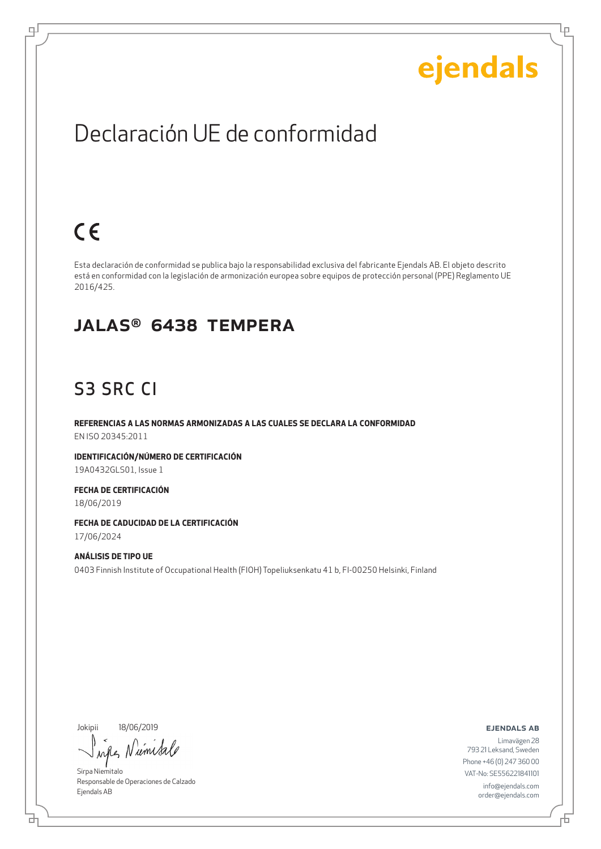Lρ

### Declaración UE de conformidad

## $C \in$

டி

Esta declaración de conformidad se publica bajo la responsabilidad exclusiva del fabricante Ejendals AB. El objeto descrito está en conformidad con la legislación de armonización europea sobre equipos de protección personal (PPE) Reglamento UE 2016/425.

#### JALAS® 6438 Tempera

### S3 SRC CI

**REFERENCIAS A LAS NORMAS ARMONIZADAS A LAS CUALES SE DECLARA LA CONFORMIDAD** EN ISO 20345:2011

**IDENTIFICACIÓN/NÚMERO DE CERTIFICACIÓN** 19A0432GLS01, Issue 1

**FECHA DE CERTIFICACIÓN** 18/06/2019

**FECHA DE CADUCIDAD DE LA CERTIFICACIÓN** 17/06/2024

**ANÁLISIS DE TIPO UE** 0403 Finnish Institute of Occupational Health (FIOH) Topeliuksenkatu 41 b, FI-00250 Helsinki, Finland

Jokipii 18/06/2019

when Niemisa

Sirpa Niemitalo Responsable de Operaciones de Calzado Ejendals AB

ejendals ab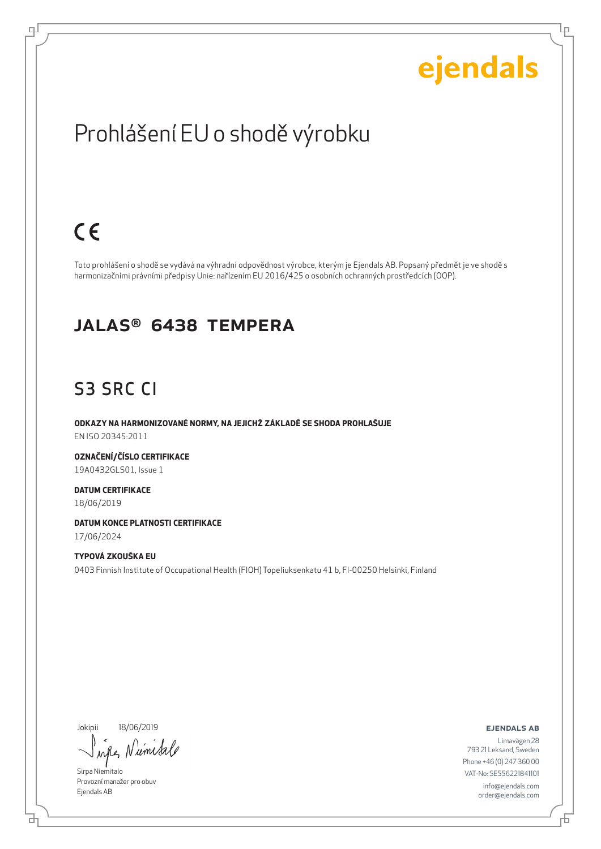Lρ

### Prohlášení EU o shodě výrobku

## $C \in$

ψ

Toto prohlášení o shodě se vydává na výhradní odpovědnost výrobce, kterým je Ejendals AB. Popsaný předmět je ve shodě s harmonizačními právními předpisy Unie: nařízením EU 2016/425 o osobních ochranných prostředcích (OOP).

#### JALAS® 6438 Tempera

### S3 SRC CI

**ODKAZY NA HARMONIZOVANÉ NORMY, NA JEJICHŽ ZÁKLADĚ SE SHODA PROHLAŠUJE** EN ISO 20345:2011

**OZNAČENÍ/ČÍSLO CERTIFIKACE** 19A0432GLS01, Issue 1

**DATUM CERTIFIKACE** 18/06/2019

**DATUM KONCE PLATNOSTI CERTIFIKACE** 17/06/2024

#### **TYPOVÁ ZKOUŠKA EU** 0403 Finnish Institute of Occupational Health (FIOH) Topeliuksenkatu 41 b, FI-00250 Helsinki, Finland

Jokipii 18/06/2019

umisa when

Sirpa Niemitalo Provozní manažer pro obuv Ejendals AB

ejendals ab

Limavägen 28 793 21 Leksand, Sweden Phone +46 (0) 247 360 00 VAT-No: SE556221841101 info@ejendals.com order@ejendals.com

브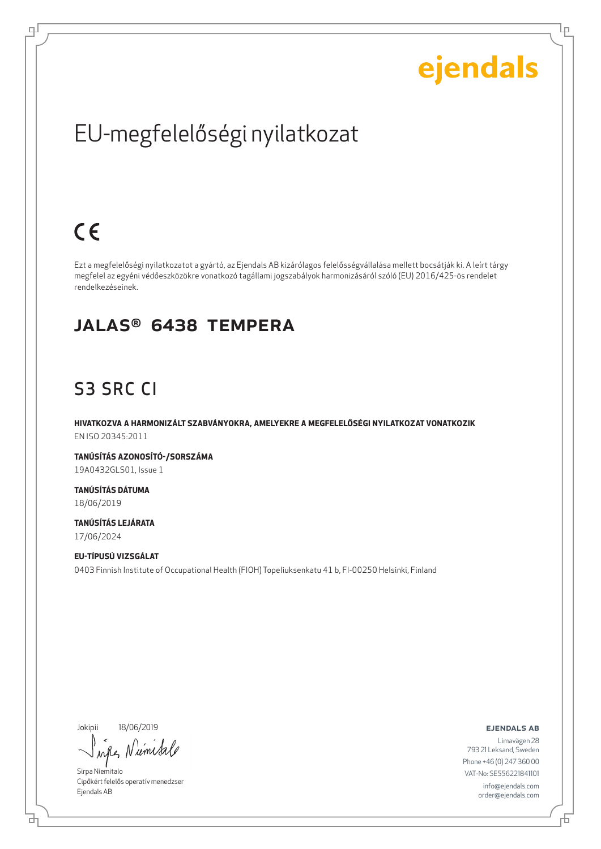Ļμ

## EU-megfelelőségi nyilatkozat

## $C \in$

ᆗ

Ezt a megfelelőségi nyilatkozatot a gyártó, az Ejendals AB kizárólagos felelősségvállalása mellett bocsátják ki. A leírt tárgy megfelel az egyéni védőeszközökre vonatkozó tagállami jogszabályok harmonizásáról szóló (EU) 2016/425-ös rendelet rendelkezéseinek.

#### JALAS® 6438 Tempera

### S3 SRC CI

**HIVATKOZVA A HARMONIZÁLT SZABVÁNYOKRA, AMELYEKRE A MEGFELELŐSÉGI NYILATKOZAT VONATKOZIK** EN ISO 20345:2011

**TANÚSÍTÁS AZONOSÍTÓ-/SORSZÁMA** 19A0432GLS01, Issue 1

**TANÚSÍTÁS DÁTUMA** 18/06/2019

**TANÚSÍTÁS LEJÁRATA** 17/06/2024

#### **EU-TÍPUSÚ VIZSGÁLAT** 0403 Finnish Institute of Occupational Health (FIOH) Topeliuksenkatu 41 b, FI-00250 Helsinki, Finland

Jokipii 18/06/2019

₫

when Niemeta

Sirpa Niemitalo Cipőkért felelős operatív menedzser Ejendals AB

ejendals ab

Б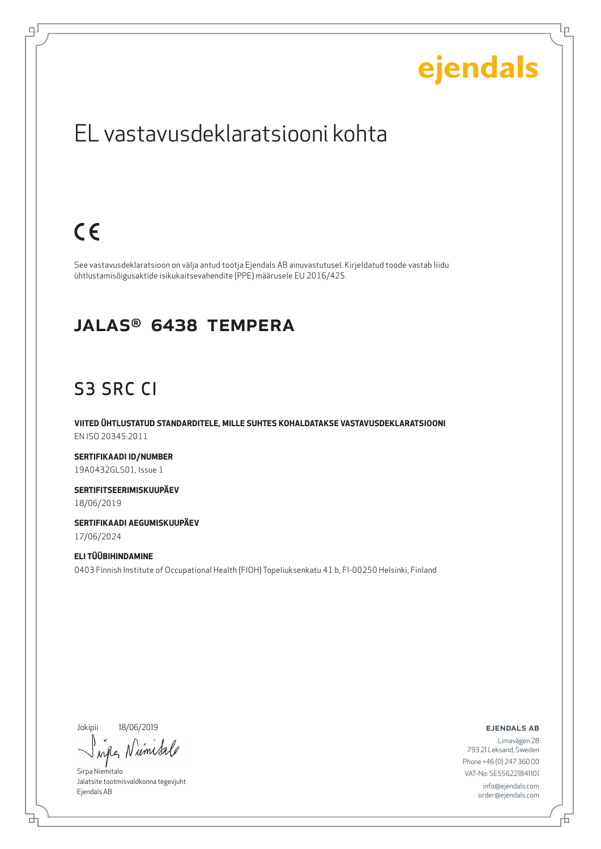Lρ

### EL vastavusdeklaratsiooni kohta

## $C \in$

டி

See vastavusdeklaratsioon on välja antud tootja Ejendals AB ainuvastutusel. Kirjeldatud toode vastab liidu ühtlustamisõigusaktide isikukaitsevahendite (PPE) määrusele EU 2016/425.

#### JALAS® 6438 Tempera

### S3 SRC CI

**VIITED ÜHTLUSTATUD STANDARDITELE, MILLE SUHTES KOHALDATAKSE VASTAVUSDEKLARATSIOONI** EN ISO 20345:2011

**SERTIFIKAADI ID/NUMBER** 19A0432GLS01, Issue 1

**SERTIFITSEERIMISKUUPÄEV** 18/06/2019

**SERTIFIKAADI AEGUMISKUUPÄEV** 17/06/2024

#### **ELI TÜÜBIHINDAMINE** 0403 Finnish Institute of Occupational Health (FIOH) Topeliuksenkatu 41 b, FI-00250 Helsinki, Finland

Jokipii 18/06/2019

브

when Niemeta

Sirpa Niemitalo Jalatsite tootmisvaldkonna tegevjuht Ejendals AB

#### ejendals ab

Đ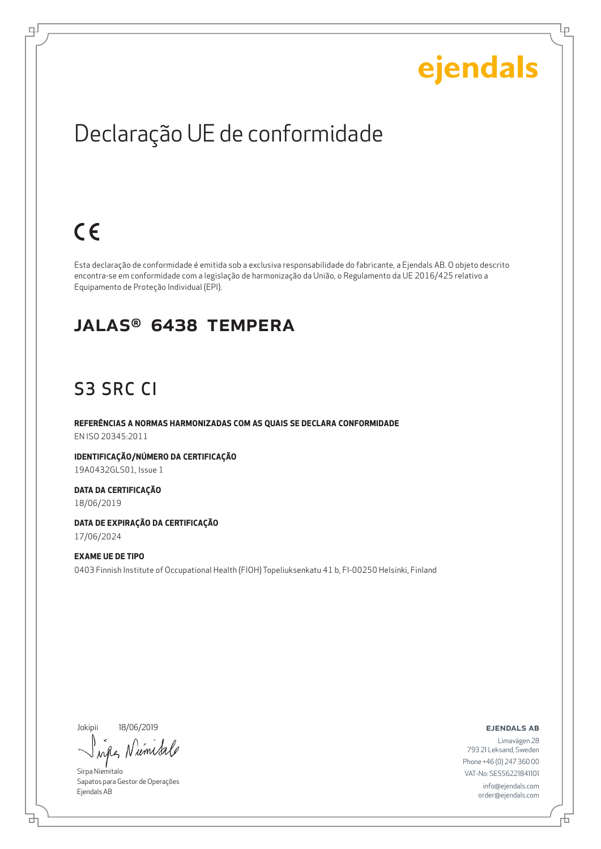Ļμ

## Declaração UE de conformidade

## $C \in$

ᆗ

Esta declaração de conformidade é emitida sob a exclusiva responsabilidade do fabricante, a Ejendals AB. O objeto descrito encontra-se em conformidade com a legislação de harmonização da União, o Regulamento da UE 2016/425 relativo a Equipamento de Proteção Individual (EPI).

#### JALAS® 6438 Tempera

### S3 SRC CI

**REFERÊNCIAS A NORMAS HARMONIZADAS COM AS QUAIS SE DECLARA CONFORMIDADE** EN ISO 20345:2011

**IDENTIFICAÇÃO/NÚMERO DA CERTIFICAÇÃO** 19A0432GLS01, Issue 1

**DATA DA CERTIFICAÇÃO** 18/06/2019

**DATA DE EXPIRAÇÃO DA CERTIFICAÇÃO** 17/06/2024

#### **EXAME UE DE TIPO** 0403 Finnish Institute of Occupational Health (FIOH) Topeliuksenkatu 41 b, FI-00250 Helsinki, Finland

Jokipii 18/06/2019

um wh

Sirpa Niemitalo Sapatos para Gestor de Operações Ejendals AB

ejendals ab

Limavägen 28 793 21 Leksand, Sweden Phone +46 (0) 247 360 00 VAT-No: SE556221841101 info@ejendals.com order@ejendals.com

₫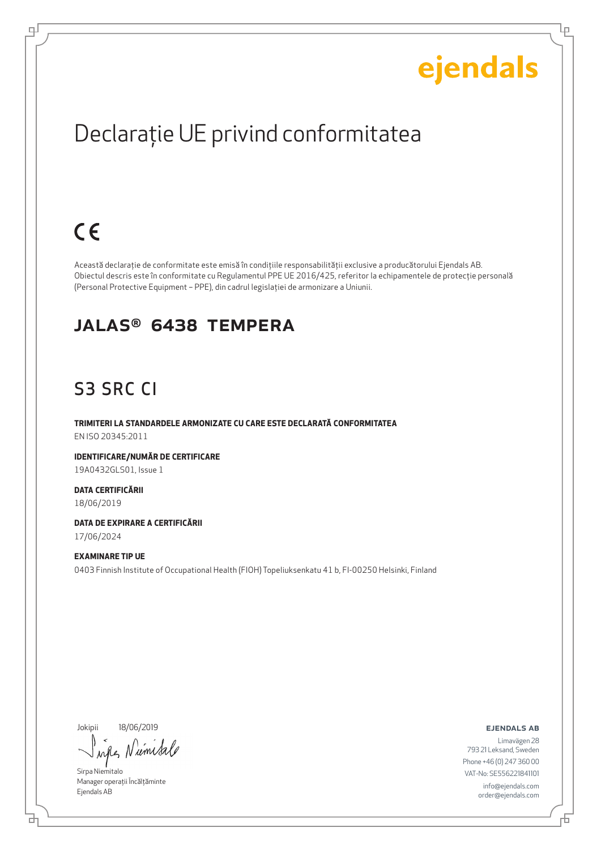Lр

## Declaraţie UE privind conformitatea

## $C \in$

ᆗ

Această declaraţie de conformitate este emisă în condiţiile responsabilităţii exclusive a producătorului Ejendals AB. Obiectul descris este în conformitate cu Regulamentul PPE UE 2016/425, referitor la echipamentele de protecţie personală (Personal Protective Equipment – PPE), din cadrul legislaţiei de armonizare a Uniunii.

#### JALAS® 6438 Tempera

### S3 SRC CI

**TRIMITERI LA STANDARDELE ARMONIZATE CU CARE ESTE DECLARATĂ CONFORMITATEA** EN ISO 20345:2011

**IDENTIFICARE/NUMĂR DE CERTIFICARE** 19A0432GLS01, Issue 1

**DATA CERTIFICĂRII** 18/06/2019

**DATA DE EXPIRARE A CERTIFICĂRII** 17/06/2024

#### **EXAMINARE TIP UE** 0403 Finnish Institute of Occupational Health (FIOH) Topeliuksenkatu 41 b, FI-00250 Helsinki, Finland

Jokipii 18/06/2019

when umi

Sirpa Niemitalo Manager operații Încălțăminte Ejendals AB

ejendals ab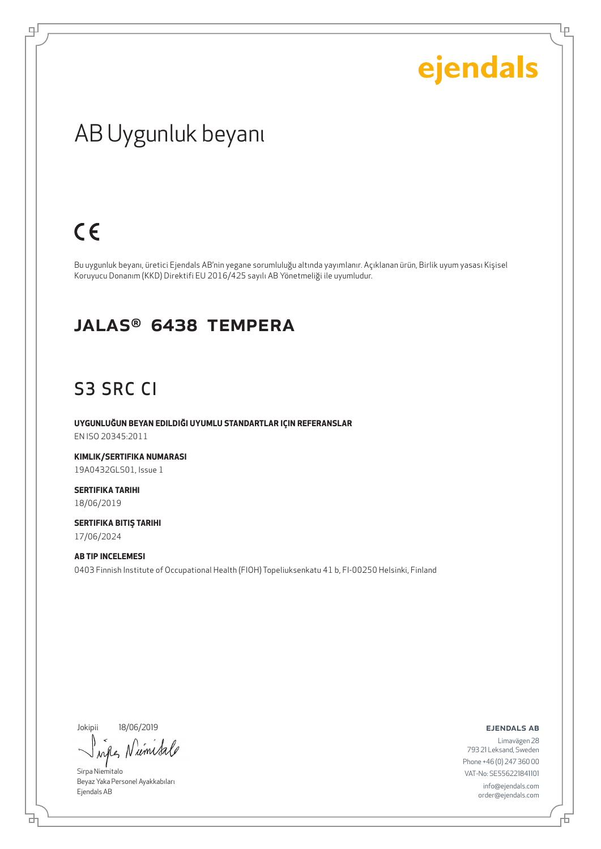Lρ

### AB Uygunluk beyanı

### $C \in$

ψ

Bu uygunluk beyanı, üretici Ejendals AB'nin yegane sorumluluğu altında yayımlanır. Açıklanan ürün, Birlik uyum yasası Kişisel Koruyucu Donanım (KKD) Direktifi EU 2016/425 sayılı AB Yönetmeliği ile uyumludur.

#### JALAS® 6438 Tempera

### S3 SRC CI

**UYGUNLUĞUN BEYAN EDILDIĞI UYUMLU STANDARTLAR IÇIN REFERANSLAR** EN ISO 20345:2011

**KIMLIK/SERTIFIKA NUMARASI** 19A0432GLS01, Issue 1

**SERTIFIKA TARIHI** 18/06/2019

**SERTIFIKA BITIŞ TARIHI** 17/06/2024

#### **AB TIP INCELEMESI**

0403 Finnish Institute of Occupational Health (FIOH) Topeliuksenkatu 41 b, FI-00250 Helsinki, Finland

Jokipii 18/06/2019

브

when Niemisa

Sirpa Niemitalo Beyaz Yaka Personel Ayakkabıları Ejendals AB

#### ejendals ab

Đ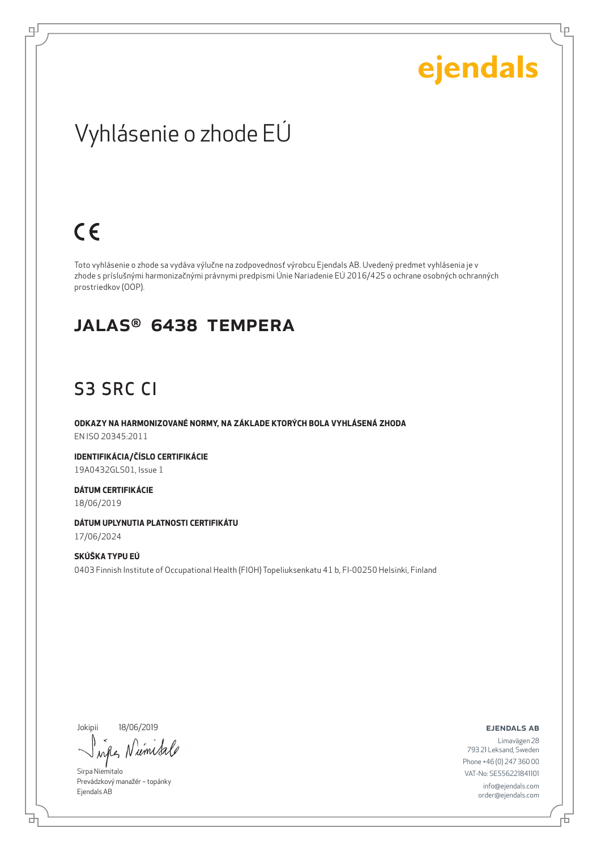Lρ

### Vyhlásenie o zhode EÚ

## $C \in$

ᆗ

Toto vyhlásenie o zhode sa vydáva výlučne na zodpovednosť výrobcu Ejendals AB. Uvedený predmet vyhlásenia je v zhode s príslušnými harmonizačnými právnymi predpismi Únie Nariadenie EÚ 2016/425 o ochrane osobných ochranných prostriedkov (OOP).

#### JALAS® 6438 Tempera

#### S3 SRC CI

**ODKAZY NA HARMONIZOVANÉ NORMY, NA ZÁKLADE KTORÝCH BOLA VYHLÁSENÁ ZHODA** EN ISO 20345:2011

**IDENTIFIKÁCIA/ČÍSLO CERTIFIKÁCIE** 19A0432GLS01, Issue 1

**DÁTUM CERTIFIKÁCIE** 18/06/2019

**DÁTUM UPLYNUTIA PLATNOSTI CERTIFIKÁTU** 17/06/2024

**SKÚŠKA TYPU EÚ** 0403 Finnish Institute of Occupational Health (FIOH) Topeliuksenkatu 41 b, FI-00250 Helsinki, Finland

Jokipii 18/06/2019

when Nume

Sirpa Niemitalo Prevádzkový manažér – topánky Ejendals AB

ejendals ab

Đ

Limavägen 28 793 21 Leksand, Sweden Phone +46 (0) 247 360 00 VAT-No: SE556221841101 info@ejendals.com order@ejendals.com

브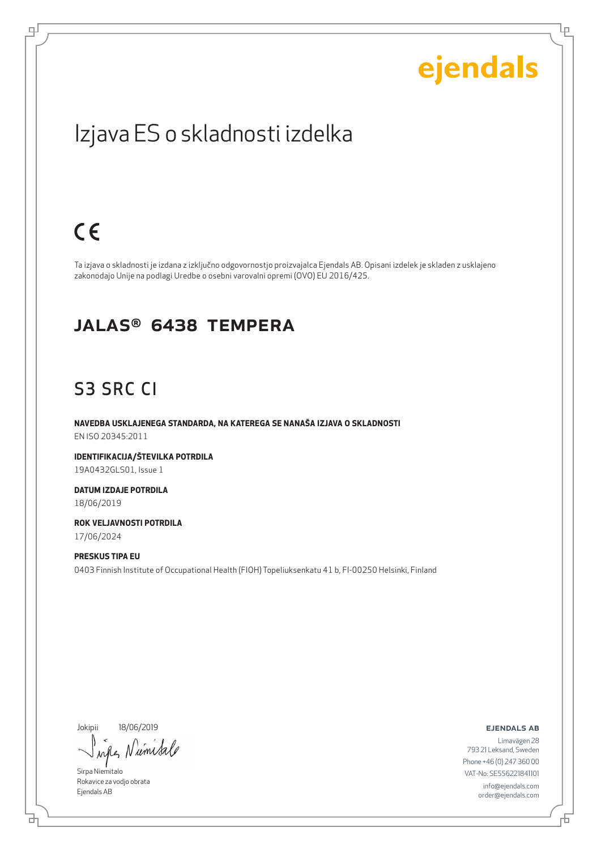Lρ

### Izjava ES o skladnosti izdelka

### $C \in$

ψ

Ta izjava o skladnosti je izdana z izključno odgovornostjo proizvajalca Ejendals AB. Opisani izdelek je skladen z usklajeno zakonodajo Unije na podlagi Uredbe o osebni varovalni opremi (OVO) EU 2016/425.

#### JALAS® 6438 Tempera

#### S3 SRC CI

**NAVEDBA USKLAJENEGA STANDARDA, NA KATEREGA SE NANAŠA IZJAVA O SKLADNOSTI** EN ISO 20345:2011

**IDENTIFIKACIJA/ŠTEVILKA POTRDILA** 19A0432GLS01, Issue 1

**DATUM IZDAJE POTRDILA** 18/06/2019

**ROK VELJAVNOSTI POTRDILA** 17/06/2024

**PRESKUS TIPA EU** 0403 Finnish Institute of Occupational Health (FIOH) Topeliuksenkatu 41 b, FI-00250 Helsinki, Finland

Jokipii 18/06/2019

umsa when

Sirpa Niemitalo Rokavice za vodjo obrata Ejendals AB

ejendals ab

Limavägen 28 793 21 Leksand, Sweden Phone +46 (0) 247 360 00 VAT-No: SE556221841101 info@ejendals.com order@ejendals.com

브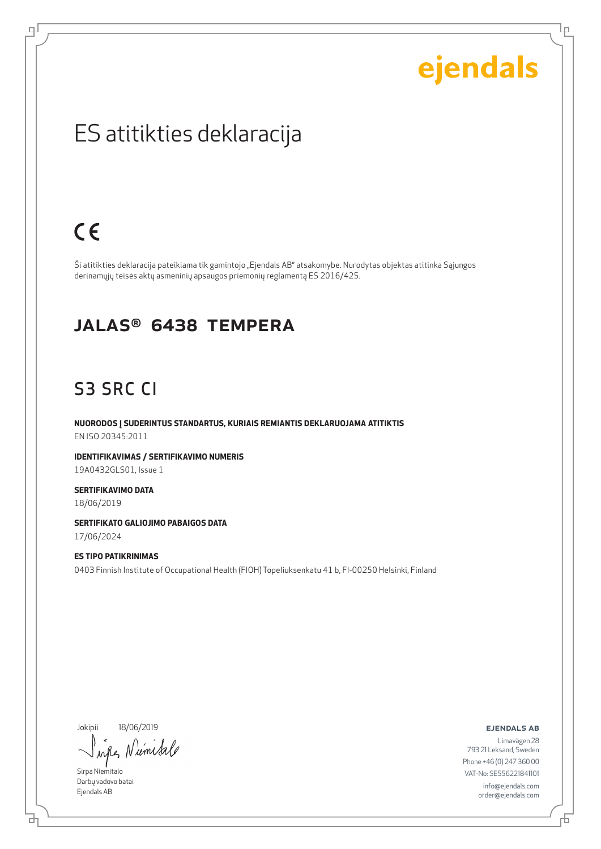Lρ

### ES atitikties deklaracija

## $C \in$

ψ

Ši atitikties deklaracija pateikiama tik gamintojo "Ejendals AB" atsakomybe. Nurodytas objektas atitinka Sąjungos derinamųjų teisės aktų asmeninių apsaugos priemonių reglamentą ES 2016/425.

#### JALAS® 6438 Tempera

### S3 SRC CI

**NUORODOS Į SUDERINTUS STANDARTUS, KURIAIS REMIANTIS DEKLARUOJAMA ATITIKTIS** EN ISO 20345:2011

**IDENTIFIKAVIMAS / SERTIFIKAVIMO NUMERIS** 19A0432GLS01, Issue 1

**SERTIFIKAVIMO DATA** 18/06/2019

**SERTIFIKATO GALIOJIMO PABAIGOS DATA** 17/06/2024

#### **ES TIPO PATIKRINIMAS** 0403 Finnish Institute of Occupational Health (FIOH) Topeliuksenkatu 41 b, FI-00250 Helsinki, Finland

Jokipii 18/06/2019

whe Niemisa

Sirpa Niemitalo Darbų vadovo batai Ejendals AB

브

ejendals ab

Đ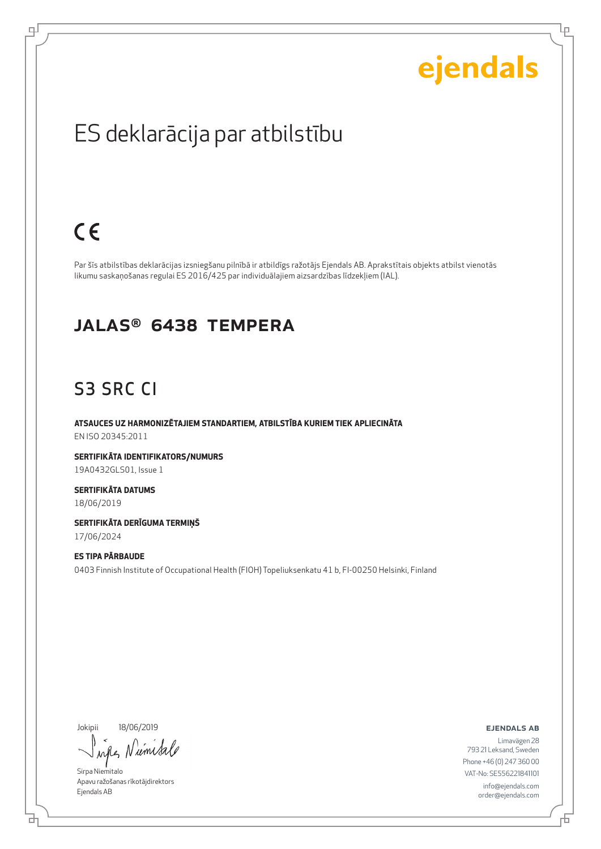Lρ

### ES deklarācija par atbilstību

### $C \in$

டி

Par šīs atbilstības deklarācijas izsniegšanu pilnībā ir atbildīgs ražotājs Ejendals AB. Aprakstītais objekts atbilst vienotās likumu saskaņošanas regulai ES 2016/425 par individuālajiem aizsardzības līdzekļiem (IAL).

#### JALAS® 6438 Tempera

#### S3 SRC CI

**ATSAUCES UZ HARMONIZĒTAJIEM STANDARTIEM, ATBILSTĪBA KURIEM TIEK APLIECINĀTA** EN ISO 20345:2011

**SERTIFIKĀTA IDENTIFIKATORS/NUMURS** 19A0432GLS01, Issue 1

**SERTIFIKĀTA DATUMS** 18/06/2019

**SERTIFIKĀTA DERĪGUMA TERMIŅŠ** 17/06/2024

#### **ES TIPA PĀRBAUDE** 0403 Finnish Institute of Occupational Health (FIOH) Topeliuksenkatu 41 b, FI-00250 Helsinki, Finland

Jokipii 18/06/2019

브

when Nieme

Sirpa Niemitalo Apavu ražošanas rīkotājdirektors Ejendals AB

ejendals ab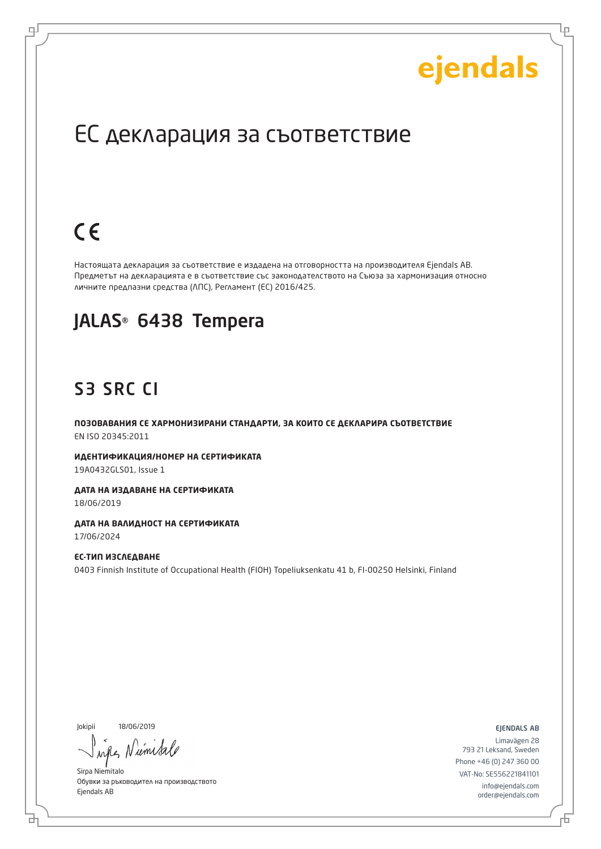Lр

### ЕС декларация за съответствие

## $C \in$

로

Настоящата декларация за съответствие е издадена на отговорността на производителя Ejendals AB. Предметът на декларацията е в съответствие със законодателството на Съюза за хармонизация относно личните предпазни средства (ЛПС), Регламент (ЕС) 2016/425.

#### JALAS® 6438 Tempera

### S3 SRC CI

**ПОЗОВАВАНИЯ СЕ ХАРМОНИЗИРАНИ СТАНДАРТИ, ЗА КОИТО СЕ ДЕКЛАРИРА СЪОТВЕТСТВИЕ** EN ISO 20345:2011

**ИДЕНТИФИКАЦИЯ/НОМЕР НА СЕРТИФИКАТА** 19A0432GLS01, Issue 1

**ДАТА НА ИЗДАВАНЕ НА СЕРТИФИКАТА** 18/06/2019

**ДАТА НА ВАЛИДНОСТ НА СЕРТИФИКАТА** 17/06/2024

**ЕС-ТИП ИЗСЛЕДВАНЕ** 0403 Finnish Institute of Occupational Health (FIOH) Topeliuksenkatu 41 b, FI-00250 Helsinki, Finland

Jokipii 18/06/2019

б

when N umi

Sirpa Niemitalo Обувки за ръководител на производството Ejendals AB

ejendals ab

Б